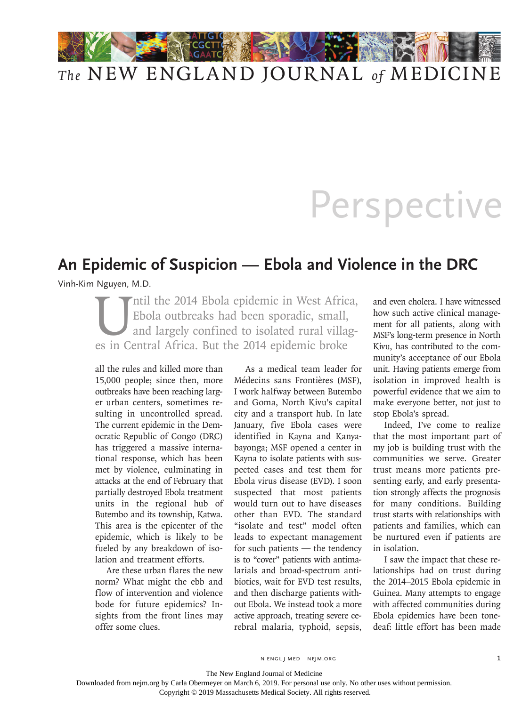## *The* NEW ENGLAND JOURNAL *of* MEDICINE

## Perspective

## **An Epidemic of Suspicion — Ebola and Violence in the DRC**

Vinh‑Kim Nguyen, M.D.

Intil the 2014 Ebola epidemic in West Africa,<br>Ebola outbreaks had been sporadic, small,<br>and largely confined to isolated rural villag-<br>es in Central Africa. But the 2014 epidemic broke Ebola outbreaks had been sporadic, small, and largely confined to isolated rural villages in Central Africa. But the 2014 epidemic broke

all the rules and killed more than 15,000 people; since then, more outbreaks have been reaching larger urban centers, sometimes resulting in uncontrolled spread. The current epidemic in the Democratic Republic of Congo (DRC) has triggered a massive international response, which has been met by violence, culminating in attacks at the end of February that partially destroyed Ebola treatment units in the regional hub of Butembo and its township, Katwa. This area is the epicenter of the epidemic, which is likely to be fueled by any breakdown of isolation and treatment efforts.

Are these urban flares the new norm? What might the ebb and flow of intervention and violence bode for future epidemics? Insights from the front lines may offer some clues.

As a medical team leader for Médecins sans Frontières (MSF), I work halfway between Butembo and Goma, North Kivu's capital city and a transport hub. In late January, five Ebola cases were identified in Kayna and Kanyabayonga; MSF opened a center in Kayna to isolate patients with suspected cases and test them for Ebola virus disease (EVD). I soon suspected that most patients would turn out to have diseases other than EVD. The standard "isolate and test" model often leads to expectant management for such patients — the tendency is to "cover" patients with antimalarials and broad-spectrum antibiotics, wait for EVD test results, and then discharge patients without Ebola. We instead took a more active approach, treating severe cerebral malaria, typhoid, sepsis,

and even cholera. I have witnessed how such active clinical management for all patients, along with MSF's long-term presence in North Kivu, has contributed to the community's acceptance of our Ebola unit. Having patients emerge from isolation in improved health is powerful evidence that we aim to make everyone better, not just to stop Ebola's spread.

Indeed, I've come to realize that the most important part of my job is building trust with the communities we serve. Greater trust means more patients presenting early, and early presentation strongly affects the prognosis for many conditions. Building trust starts with relationships with patients and families, which can be nurtured even if patients are in isolation.

I saw the impact that these relationships had on trust during the 2014–2015 Ebola epidemic in Guinea. Many attempts to engage with affected communities during Ebola epidemics have been tonedeaf: little effort has been made

n engl j med nejm.org 1

The New England Journal of Medicine

Downloaded from nejm.org by Carla Obermeyer on March 6, 2019. For personal use only. No other uses without permission.

Copyright © 2019 Massachusetts Medical Society. All rights reserved.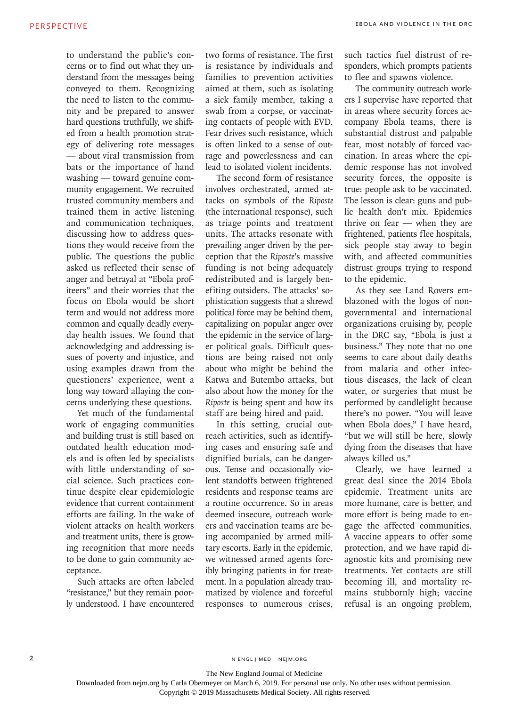to understand the public's concerns or to find out what they understand from the messages being conveyed to them. Recognizing the need to listen to the community and be prepared to answer hard questions truthfully, we shifted from a health promotion strategy of delivering rote messages — about viral transmission from bats or the importance of hand washing — toward genuine community engagement. We recruited trusted community members and trained them in active listening and communication techniques, discussing how to address questions they would receive from the public. The questions the public asked us reflected their sense of anger and betrayal at "Ebola profiteers" and their worries that the focus on Ebola would be short term and would not address more common and equally deadly everyday health issues. We found that acknowledging and addressing issues of poverty and injustice, and using examples drawn from the questioners' experience, went a long way toward allaying the concerns underlying these questions.

Yet much of the fundamental work of engaging communities and building trust is still based on outdated health education models and is often led by specialists with little understanding of social science. Such practices continue despite clear epidemiologic evidence that current containment efforts are failing. In the wake of violent attacks on health workers and treatment units, there is growing recognition that more needs to be done to gain community acceptance.

Such attacks are often labeled "resistance," but they remain poorly understood. I have encountered two forms of resistance. The first is resistance by individuals and families to prevention activities aimed at them, such as isolating a sick family member, taking a swab from a corpse, or vaccinating contacts of people with EVD. Fear drives such resistance, which is often linked to a sense of outrage and powerlessness and can lead to isolated violent incidents.

The second form of resistance involves orchestrated, armed attacks on symbols of the *Riposte* (the international response), such as triage points and treatment units. The attacks resonate with prevailing anger driven by the perception that the *Riposte*'s massive funding is not being adequately redistributed and is largely benefiting outsiders. The attacks' sophistication suggests that a shrewd political force may be behind them, capitalizing on popular anger over the epidemic in the service of larger political goals. Difficult questions are being raised not only about who might be behind the Katwa and Butembo attacks, but also about how the money for the *Riposte* is being spent and how its staff are being hired and paid.

In this setting, crucial outreach activities, such as identifying cases and ensuring safe and dignified burials, can be dangerous. Tense and occasionally violent standoffs between frightened residents and response teams are a routine occurrence. So in areas deemed insecure, outreach workers and vaccination teams are being accompanied by armed military escorts. Early in the epidemic, we witnessed armed agents forcibly bringing patients in for treatment. In a population already traumatized by violence and forceful responses to numerous crises, such tactics fuel distrust of responders, which prompts patients to flee and spawns violence.

The community outreach workers I supervise have reported that in areas where security forces accompany Ebola teams, there is substantial distrust and palpable fear, most notably of forced vaccination. In areas where the epidemic response has not involved security forces, the opposite is true: people ask to be vaccinated. The lesson is clear: guns and public health don't mix. Epidemics thrive on fear — when they are frightened, patients flee hospitals, sick people stay away to begin with, and affected communities distrust groups trying to respond to the epidemic.

As they see Land Rovers emblazoned with the logos of nongovernmental and international organizations cruising by, people in the DRC say, "Ebola is just a business." They note that no one seems to care about daily deaths from malaria and other infectious diseases, the lack of clean water, or surgeries that must be performed by candlelight because there's no power. "You will leave when Ebola does," I have heard, "but we will still be here, slowly dying from the diseases that have always killed us."

Clearly, we have learned a great deal since the 2014 Ebola epidemic. Treatment units are more humane, care is better, and more effort is being made to engage the affected communities. A vaccine appears to offer some protection, and we have rapid diagnostic kits and promising new treatments. Yet contacts are still becoming ill, and mortality remains stubbornly high; vaccine refusal is an ongoing problem,

n engl j med nejm.org

The New England Journal of Medicine

Downloaded from nejm.org by Carla Obermeyer on March 6, 2019. For personal use only. No other uses without permission.

Copyright © 2019 Massachusetts Medical Society. All rights reserved.